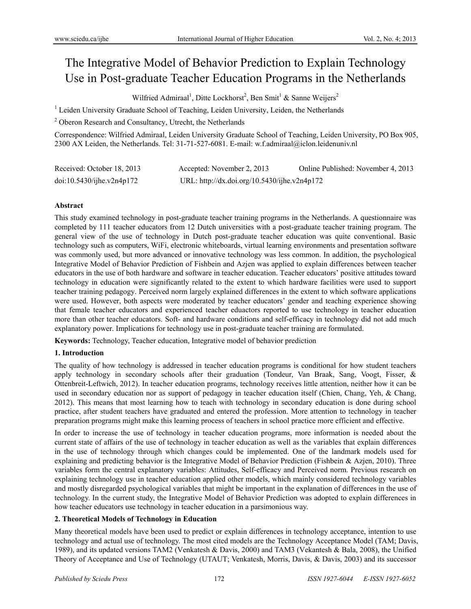# The Integrative Model of Behavior Prediction to Explain Technology Use in Post-graduate Teacher Education Programs in the Netherlands

Wilfried Admiraal<sup>1</sup>, Ditte Lockhorst<sup>2</sup>, Ben Smit<sup>1</sup> & Sanne Weijers<sup>2</sup>

<sup>1</sup> Leiden University Graduate School of Teaching, Leiden University, Leiden, the Netherlands

<sup>2</sup> Oberon Research and Consultancy, Utrecht, the Netherlands

Correspondence: Wilfried Admiraal, Leiden University Graduate School of Teaching, Leiden University, PO Box 905, 2300 AX Leiden, the Netherlands. Tel: 31-71-527-6081. E-mail: w.f.admiraal@iclon.leidenuniv.nl

| Received: October 18, 2013 | Accepted: November 2, 2013                   | Online Published: November 4, 2013 |
|----------------------------|----------------------------------------------|------------------------------------|
| doi:10.5430/ijhe.v2n4p172  | URL: http://dx.doi.org/10.5430/ijhe.v2n4p172 |                                    |

## **Abstract**

This study examined technology in post-graduate teacher training programs in the Netherlands. A questionnaire was completed by 111 teacher educators from 12 Dutch universities with a post-graduate teacher training program. The general view of the use of technology in Dutch post-graduate teacher education was quite conventional. Basic technology such as computers, WiFi, electronic whiteboards, virtual learning environments and presentation software was commonly used, but more advanced or innovative technology was less common. In addition, the psychological Integrative Model of Behavior Prediction of Fishbein and Azjen was applied to explain differences between teacher educators in the use of both hardware and software in teacher education. Teacher educators' positive attitudes toward technology in education were significantly related to the extent to which hardware facilities were used to support teacher training pedagogy. Perceived norm largely explained differences in the extent to which software applications were used. However, both aspects were moderated by teacher educators' gender and teaching experience showing that female teacher educators and experienced teacher eduactors reported to use technology in teacher education more than other teacher educators. Soft- and hardware conditions and self-efficacy in technology did not add much explanatory power. Implications for technology use in post-graduate teacher training are formulated.

**Keywords:** Technology, Teacher education, Integrative model of behavior prediction

## **1. Introduction**

The quality of how technology is addressed in teacher education programs is conditional for how student teachers apply technology in secondary schools after their graduation (Tondeur, Van Braak, Sang, Voogt, Fisser, & Ottenbreit-Leftwich, 2012). In teacher education programs, technology receives little attention, neither how it can be used in secondary education nor as support of pedagogy in teacher education itself (Chien, Chang, Yeh, & Chang, 2012). This means that most learning how to teach with technology in secondary education is done during school practice, after student teachers have graduated and entered the profession. More attention to technology in teacher preparation programs might make this learning process of teachers in school practice more efficient and effective.

In order to increase the use of technology in teacher education programs, more information is needed about the current state of affairs of the use of technology in teacher education as well as the variables that explain differences in the use of technology through which changes could be implemented. One of the landmark models used for explaining and predicting behavior is the Integrative Model of Behavior Prediction (Fishbein & Azjen, 2010). Three variables form the central explanatory variables: Attitudes, Self-efficacy and Perceived norm. Previous research on explaining technology use in teacher education applied other models, which mainly considered technology variables and mostly disregarded psychological variables that might be important in the explanation of differences in the use of technology. In the current study, the Integrative Model of Behavior Prediction was adopted to explain differences in how teacher educators use technology in teacher education in a parsimonious way.

## **2. Theoretical Models of Technology in Education**

Many theoretical models have been used to predict or explain differences in technology acceptance, intention to use technology and actual use of technology. The most cited models are the Technology Acceptance Model (TAM; Davis, 1989), and its updated versions TAM2 (Venkatesh & Davis, 2000) and TAM3 (Vekantesh & Bala, 2008), the Unified Theory of Acceptance and Use of Technology (UTAUT; Venkatesh, Morris, Davis, & Davis, 2003) and its successor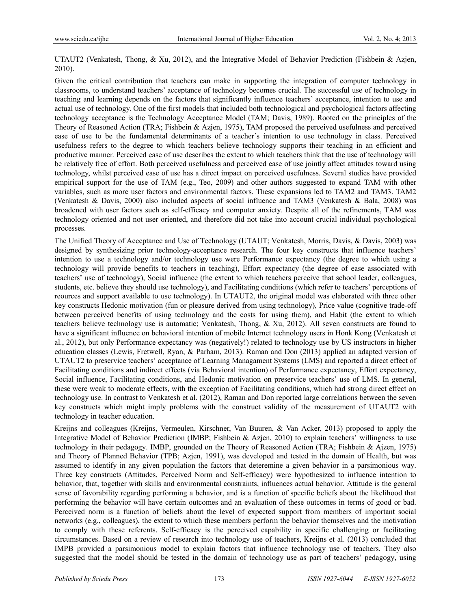UTAUT2 (Venkatesh, Thong, & Xu, 2012), and the Integrative Model of Behavior Prediction (Fishbein & Azjen, 2010).

Given the critical contribution that teachers can make in supporting the integration of computer technology in classrooms, to understand teachers' acceptance of technology becomes crucial. The successful use of technology in teaching and learning depends on the factors that significantly influence teachers' acceptance, intention to use and actual use of technology. One of the first models that included both technological and psychological factors affecting technology acceptance is the Technology Acceptance Model (TAM; Davis, 1989). Rooted on the principles of the Theory of Reasoned Action (TRA; Fishbein & Azjen, 1975), TAM proposed the perceived usefulness and perceived ease of use to be the fundamental determinants of a teacher's intention to use technology in class. Perceived usefulness refers to the degree to which teachers believe technology supports their teaching in an efficient and productive manner. Perceived ease of use describes the extent to which teachers think that the use of technology will be relatively free of effort. Both perceived usefulness and perceived ease of use jointly affect attitudes toward using technology, whilst perceived ease of use has a direct impact on perceived usefulness. Several studies have provided empirical support for the use of TAM (e.g., Teo, 2009) and other authors suggested to expand TAM with other variables, such as more user factors and environmental factors. These expansions led to TAM2 and TAM3. TAM2 (Venkatesh & Davis, 2000) also included aspects of social influence and TAM3 (Venkatesh & Bala, 2008) was broadened with user factors such as self-efficacy and computer anxiety. Despite all of the refinements, TAM was technology oriented and not user oriented, and therefore did not take into account crucial individual psychological processes.

The Unified Theory of Acceptance and Use of Technology (UTAUT; Venkatesh, Morris, Davis, & Davis, 2003) was designed by synthesizing prior technology-acceptance research. The four key constructs that influence teachers' intention to use a technology and/or technology use were Performance expectancy (the degree to which using a technology will provide benefits to teachers in teaching), Effort expectancy (the degree of ease associated with teachers' use of technology), Social influence (the extent to which teachers perceive that school leader, colleagues, students, etc. believe they should use technology), and Facilitating conditions (which refer to teachers' perceptions of reources and support available to use technology). In UTAUT2, the original model was elaborated with three other key constructs Hedonic motivation (fun or pleasure derived from using technology), Price value (cognitive trade-off between perceived benefits of using technology and the costs for using them), and Habit (the extent to which teachers believe technology use is automatic; Venkatesh, Thong, & Xu, 2012). All seven constructs are found to have a significant influence on behavioral intention of mobile Internet technology users in Honk Kong (Venkatesh et al., 2012), but only Performance expectancy was (negatively!) related to technology use by US instructors in higher education classes (Lewis, Fretwell, Ryan, & Parham, 2013). Raman and Don (2013) applied an adapted version of UTAUT2 to preservice teachers' acceptance of Learning Managament Systems (LMS) and reported a direct effect of Facilitating conditions and indirect effects (via Behavioral intention) of Performance expectancy, Effort expectancy, Social influence, Facilitating conditions, and Hedonic motivation on preservice teachers' use of LMS. In general, these were weak to moderate effects, with the exception of Facilitating conditions, which had strong direct effect on technology use. In contrast to Venkatesh et al. (2012), Raman and Don reported large correlations between the seven key constructs which might imply problems with the construct validity of the measurement of UTAUT2 with technology in teacher education.

Kreijns and colleagues (Kreijns, Vermeulen, Kirschner, Van Buuren, & Van Acker, 2013) proposed to apply the Integrative Model of Behavior Prediction (IMBP; Fishbein & Azjen, 2010) to explain teachers' willingness to use technology in their pedagogy. IMBP, grounded on the Theory of Reasoned Action (TRA; Fishbein & Ajzen, 1975) and Theory of Planned Behavior (TPB; Azjen, 1991), was developed and tested in the domain of Health, but was assumed to identify in any given population the factors that deteremine a given behavior in a parsimonious way. Three key constructs (Attitudes, Perceived Norm and Self-efficacy) were hypothesized to influence intention to behavior, that, together with skills and environmental constraints, influences actual behavior. Attitude is the general sense of favorability regarding performing a behavior, and is a function of specific beliefs about the likelihood that performing the behavior will have certain outcomes and an evaluation of these outcomes in terms of good or bad. Perceived norm is a function of beliefs about the level of expected support from members of important social networks (e.g., colleagues), the extent to which these members perform the behavior themselves and the motivation to comply with these referents. Self-efficacy is the perceived capability in specific challenging or facilitating circumstances. Based on a review of research into technology use of teachers, Kreijns et al. (2013) concluded that IMPB provided a parsimonious model to explain factors that influence technology use of teachers. They also suggested that the model should be tested in the domain of technology use as part of teachers' pedagogy, using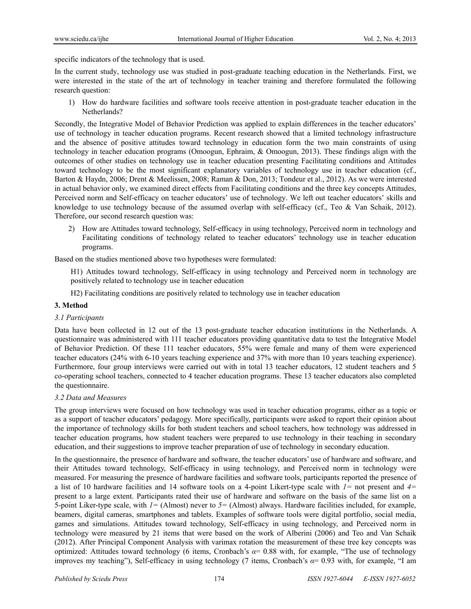specific indicators of the technology that is used.

In the current study, technology use was studied in post-graduate teaching education in the Netherlands. First, we were interested in the state of the art of technology in teacher training and therefore formulated the following research question:

1) How do hardware facilities and software tools receive attention in post-graduate teacher education in the Netherlands?

Secondly, the Integrative Model of Behavior Prediction was applied to explain differences in the teacher educators' use of technology in teacher education programs. Recent research showed that a limited technology infrastructure and the absence of positive attitudes toward technology in education form the two main constraints of using technology in teacher education programs (Omoogun, Ephraim, & Omoogun, 2013). These findings align with the outcomes of other studies on technology use in teacher education presenting Facilitating conditions and Attitudes toward technology to be the most significant explanatory variables of technology use in teacher education (cf., Barton & Haydn, 2006; Drent & Meelissen, 2008; Raman & Don, 2013; Tondeur et al., 2012). As we were interested in actual behavior only, we examined direct effects from Facilitating conditions and the three key concepts Attitudes, Perceived norm and Self-efficacy on teacher educators' use of technology. We left out teacher educators' skills and knowledge to use technology because of the assumed overlap with self-efficacy (cf., Teo & Van Schaik, 2012). Therefore, our second research question was:

2) How are Attitudes toward technology, Self-efficacy in using technology, Perceived norm in technology and Facilitating conditions of technology related to teacher educators' technology use in teacher education programs.

Based on the studies mentioned above two hypotheses were formulated:

H1) Attitudes toward technology, Self-efficacy in using technology and Perceived norm in technology are positively related to technology use in teacher education

H2) Facilitating conditions are positively related to technology use in teacher education

#### **3. Method**

#### *3.1 Participants*

Data have been collected in 12 out of the 13 post-graduate teacher education institutions in the Netherlands. A questionnaire was administered with 111 teacher educators providing quantitative data to test the Integrative Model of Behavior Prediction. Of these 111 teacher educators, 55% were female and many of them were experienced teacher educators (24% with 6-10 years teaching experience and 37% with more than 10 years teaching experience). Furthermore, four group interviews were carried out with in total 13 teacher educators, 12 student teachers and 5 co-operating school teachers, connected to 4 teacher education programs. These 13 teacher educators also completed the questionnaire.

## *3.2 Data and Measures*

The group interviews were focused on how technology was used in teacher education programs, either as a topic or as a support of teacher educators' pedagogy. More specifically, participants were asked to report their opinion about the importance of technology skills for both student teachers and school teachers, how technology was addressed in teacher education programs, how student teachers were prepared to use technology in their teaching in secondary education, and their suggestions to improve teacher preparation of use of technology in secondary education.

In the questionnaire, the presence of hardware and software, the teacher educators' use of hardware and software, and their Attitudes toward technology, Self-efficacy in using technology, and Perceived norm in technology were measured. For measuring the presence of hardware facilities and software tools, participants reported the presence of a list of 10 hardware facilities and 14 software tools on a 4-point Likert-type scale with *1=* not present and *4=* present to a large extent. Participants rated their use of hardware and software on the basis of the same list on a 5-point Liker-type scale, with *1=* (Almost) never to *5=* (Almost) always. Hardware facilities included, for example, beamers, digital cameras, smartphones and tablets. Examples of software tools were digital portfolio, social media, games and simulations. Attitudes toward technology, Self-efficacy in using technology, and Perceived norm in technology were measured by 21 items that were based on the work of Alberini (2006) and Teo and Van Schaik (2012). After Principal Component Analysis with varimax rotation the measurement of these tree key concepts was optimized: Attitudes toward technology (6 items, Cronbach's *α*= 0.88 with, for example, "The use of technology improves my teaching"), Self-efficacy in using technology (7 items, Cronbach's *α*= 0.93 with, for example, "I am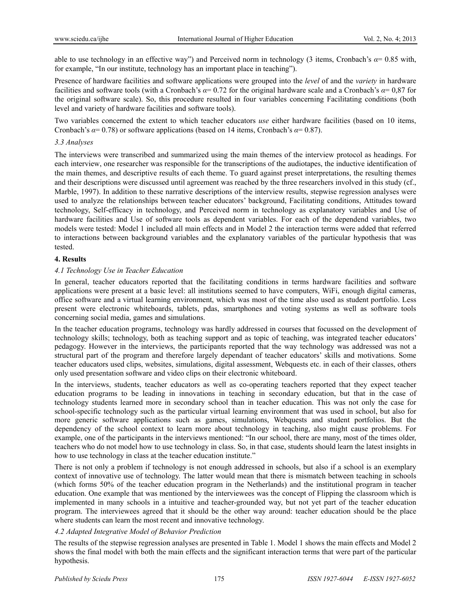able to use technology in an effective way") and Perceived norm in technology (3 items, Cronbach's *α*= 0.85 with, for example, "In our institute, technology has an important place in teaching").

Presence of hardware facilities and software applications were grouped into the *level* of and the *variety* in hardware facilities and software tools (with a Cronbach's *α*= 0.72 for the original hardware scale and a Cronbach's *α*= 0,87 for the original software scale). So, this procedure resulted in four variables concerning Facilitating conditions (both level and variety of hardware facilities and software tools).

Two variables concerned the extent to which teacher educators *use* either hardware facilities (based on 10 items, Cronbach's  $\alpha$ = 0.78) or software applications (based on 14 items, Cronbach's  $\alpha$ = 0.87).

#### *3.3 Analyses*

The interviews were transcribed and summarized using the main themes of the interview protocol as headings. For each interview, one researcher was responsible for the transcriptions of the audiotapes, the inductive identification of the main themes, and descriptive results of each theme. To guard against preset interpretations, the resulting themes and their descriptions were discussed until agreement was reached by the three researchers involved in this study (cf., Marble, 1997). In addition to these narrative descriptions of the interview results, stepwise regression analyses were used to analyze the relationships between teacher educators' background, Facilitating conditions, Attitudes toward technology, Self-efficacy in technology, and Perceived norm in technology as explanatory variables and Use of hardware facilities and Use of software tools as dependent variables. For each of the dependend variables, two models were tested: Model 1 included all main effects and in Model 2 the interaction terms were added that referred to interactions between background variables and the explanatory variables of the particular hypothesis that was tested.

## **4. Results**

#### *4.1 Technology Use in Teacher Education*

In general, teacher educators reported that the facilitating conditions in terms hardware facilities and software applications were present at a basic level: all institutions seemed to have computers, WiFi, enough digital cameras, office software and a virtual learning environment, which was most of the time also used as student portfolio. Less present were electronic whiteboards, tablets, pdas, smartphones and voting systems as well as software tools concerning social media, games and simulations.

In the teacher education programs, technology was hardly addressed in courses that focussed on the development of technology skills; technology, both as teaching support and as topic of teaching, was integrated teacher educators' pedagogy. However in the interviews, the participants reported that the way technology was addressed was not a structural part of the program and therefore largely dependant of teacher educators' skills and motivations. Some teacher educators used clips, websites, simulations, digital assessment, Webquests etc. in each of their classes, others only used presentation software and video clips on their electronic whiteboard.

In the interviews, students, teacher educators as well as co-operating teachers reported that they expect teacher education programs to be leading in innovations in teaching in secondary education, but that in the case of technology students learned more in secondary school than in teacher education. This was not only the case for school-specific technology such as the particular virtual learning environment that was used in school, but also for more generic software applications such as games, simulations, Webquests and student portfolios. But the dependency of the school context to learn more about technology in teaching, also might cause problems. For example, one of the participants in the interviews mentioned: "In our school, there are many, most of the times older, teachers who do not model how to use technology in class. So, in that case, students should learn the latest insights in how to use technology in class at the teacher education institute."

There is not only a problem if technology is not enough addressed in schools, but also if a school is an exemplary context of innovative use of technology. The latter would mean that there is mismatch between teaching in schools (which forms 50% of the teacher education program in the Netherlands) and the institutional program in teacher education. One example that was mentioned by the interviewees was the concept of Flipping the classroom which is implemented in many schools in a intuitive and teacher-grounded way, but not yet part of the teacher education program. The interviewees agreed that it should be the other way around: teacher education should be the place where students can learn the most recent and innovative technology.

#### *4.2 Adapted Integrative Model of Behavior Prediction*

The results of the stepwise regression analyses are presented in Table 1. Model 1 shows the main effects and Model 2 shows the final model with both the main effects and the significant interaction terms that were part of the particular hypothesis.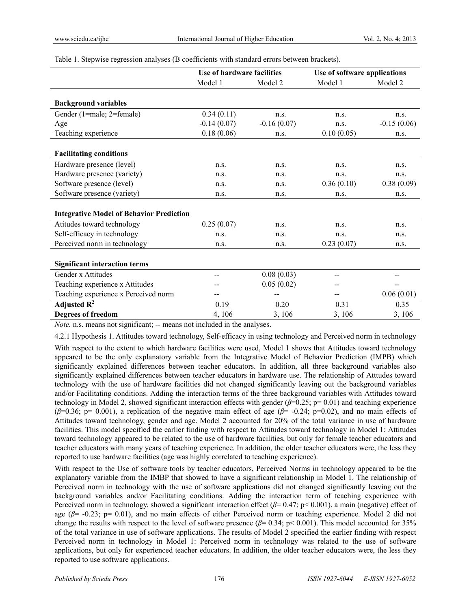|  | Table 1. Stepwise regression analyses (B coefficients with standard errors between brackets). |  |  |  |  |  |
|--|-----------------------------------------------------------------------------------------------|--|--|--|--|--|
|  |                                                                                               |  |  |  |  |  |

|                                                 | Use of hardware facilities |               | Use of software applications |               |  |
|-------------------------------------------------|----------------------------|---------------|------------------------------|---------------|--|
|                                                 | Model 1                    | Model 2       | Model 1                      | Model 2       |  |
|                                                 |                            |               |                              |               |  |
| <b>Background variables</b>                     |                            |               |                              |               |  |
| Gender (1=male; 2=female)                       | 0.34(0.11)                 | n.s.          | n.s.                         | n.s.          |  |
| Age                                             | $-0.14(0.07)$              | $-0.16(0.07)$ | n.s.                         | $-0.15(0.06)$ |  |
| Teaching experience                             | 0.18(0.06)                 | n.s.          | 0.10(0.05)                   | n.s.          |  |
|                                                 |                            |               |                              |               |  |
| <b>Facilitating conditions</b>                  |                            |               |                              |               |  |
| Hardware presence (level)                       | n.s.                       | n.s.          | n.s.                         | n.s.          |  |
| Hardware presence (variety)                     | n.s.                       | n.s.          | n.s.                         | n.s.          |  |
| Software presence (level)                       | n.S.                       | n.s.          | 0.36(0.10)                   | 0.38(0.09)    |  |
| Software presence (variety)                     | n.s.                       | n.s.          | n.s.                         | n.s.          |  |
|                                                 |                            |               |                              |               |  |
| <b>Integrative Model of Behavior Prediction</b> |                            |               |                              |               |  |
| Atitudes toward technology                      | 0.25(0.07)                 | n.s.          | n.s.                         | n.s.          |  |
| Self-efficacy in technology                     | n.s.                       | n.s.          | n.s.                         | n.S.          |  |
| Perceived norm in technology                    | n.s.                       | n.S.          | 0.23(0.07)                   | n.s.          |  |
|                                                 |                            |               |                              |               |  |
| <b>Significant interaction terms</b>            |                            |               |                              |               |  |
| Gender x Attitudes                              | --                         | 0.08(0.03)    |                              |               |  |
| Teaching experience x Attitudes                 |                            | 0.05(0.02)    |                              |               |  |
| Teaching experience x Perceived norm            | --                         | --            | $-$                          | 0.06(0.01)    |  |
| Adjusted $\mathbf{R}^2$                         | 0.19                       | 0.20          | 0.31                         | 0.35          |  |
| Degrees of freedom                              | 4, 106                     | 3, 106        | 3,106                        | 3, 106        |  |

*Note.* n.s. means not significant; -- means not included in the analyses.

4.2.1 Hypothesis 1. Attitudes toward technology, Self-efficacy in using technology and Perceived norm in technology

With respect to the extent to which hardware facilities were used, Model 1 shows that Attitudes toward technology appeared to be the only explanatory variable from the Integrative Model of Behavior Prediction (IMPB) which significantly explained differences between teacher educators. In addition, all three background variables also significantly explained differences between teacher educators in hardware use. The relationship of Atttudes toward technology with the use of hardware facilities did not changed significantly leaving out the background variables and/or Facilitating conditions. Adding the interaction terms of the three background variables with Attitudes toward technology in Model 2, showed significant interaction effects with gender  $(\beta=0.25; p=0.01)$  and teaching experience (*β*=0.36; p= 0.001), a replication of the negative main effect of age (*β*= -0.24; p=0.02), and no main effects of Attitudes toward technology, gender and age. Model 2 accounted for 20% of the total variance in use of hardware facilities. This model specified the earlier finding with respect to Attitudes toward technology in Model 1: Attitudes toward technology appeared to be related to the use of hardware facilities, but only for female teacher educators and teacher educators with many years of teaching experience. In addition, the older teacher educators were, the less they reported to use hardware facilities (age was highly correlated to teaching experience).

With respect to the Use of software tools by teacher educators, Perceived Norms in technology appeared to be the explanatory variable from the IMBP that showed to have a significant relationship in Model 1. The relationship of Perceived norm in technology with the use of software applications did not changed significantly leaving out the background variables and/or Facilitating conditions. Adding the interaction term of teaching experience with Perceived norm in technology, showed a significant interaction effect (*β*= 0.47; p< 0.001), a main (negative) effect of age  $(\beta = -0.23; \, \mathbf{p} = 0.01)$ , and no main effects of either Perceived norm or teaching experience. Model 2 did not change the results with respect to the level of software presence (*β*= 0.34; p< 0.001). This model accounted for 35% of the total variance in use of software applications. The results of Model 2 specified the earlier finding with respect Perceived norm in technology in Model 1: Perceived norm in technology was related to the use of software applications, but only for experienced teacher educators. In addition, the older teacher educators were, the less they reported to use software applications.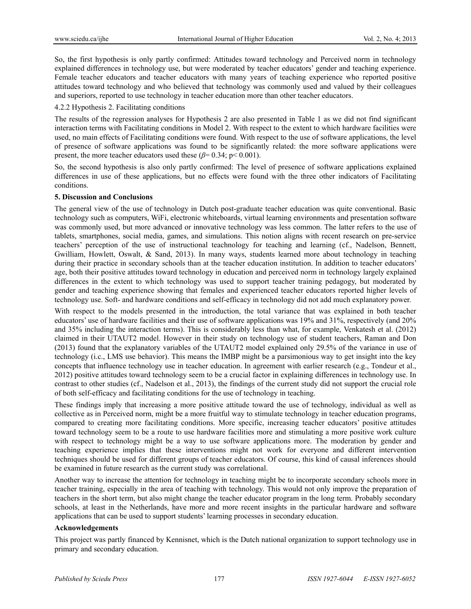So, the first hypothesis is only partly confirmed: Attitudes toward technology and Perceived norm in technology explained differences in technology use, but were moderated by teacher educators' gender and teaching experience. Female teacher educators and teacher educators with many years of teaching experience who reported positive attitudes toward technology and who believed that technology was commonly used and valued by their colleagues and superiors, reported to use technology in teacher education more than other teacher educators.

4.2.2 Hypothesis 2. Facilitating conditions

The results of the regression analyses for Hypothesis 2 are also presented in Table 1 as we did not find significant interaction terms with Facilitating conditions in Model 2. With respect to the extent to which hardware facilities were used, no main effects of Facilitating conditions were found. With respect to the use of software applications, the level of presence of software applications was found to be significantly related: the more software applications were present, the more teacher educators used these ( $\beta$ = 0.34; p< 0.001).

So, the second hypothesis is also only partly confirmed: The level of presence of software applications explained differences in use of these applications, but no effects were found with the three other indicators of Facilitating conditions.

## **5. Discussion and Conclusions**

The general view of the use of technology in Dutch post-graduate teacher education was quite conventional. Basic technology such as computers, WiFi, electronic whiteboards, virtual learning environments and presentation software was commonly used, but more advanced or innovative technology was less common. The latter refers to the use of tablets, smartphones, social media, games, and simulations. This notion aligns with recent research on pre-service teachers' perception of the use of instructional teachnology for teaching and learning (cf., Nadelson, Bennett, Gwilliam, Howlett, Oswalt, & Sand, 2013). In many ways, students learned more about technology in teaching during their practice in secondary schools than at the teacher education institution. In addition to teacher educators' age, both their positive attitudes toward technology in education and perceived norm in technology largely explained differences in the extent to which technology was used to support teacher training pedagogy, but moderated by gender and teaching experience showing that females and experienced teacher educators reported higher levels of technology use. Soft- and hardware conditions and self-efficacy in technology did not add much explanatory power.

With respect to the models presented in the introduction, the total variance that was explained in both teacher educators' use of hardware facilities and their use of software applications was 19% and 31%, respectively (and 20% and 35% including the interaction terms). This is considerably less than what, for example, Venkatesh et al. (2012) claimed in their UTAUT2 model. However in their study on technology use of student teachers, Raman and Don (2013) found that the explanatory variables of the UTAUT2 model explained only 29.5% of the variance in use of technology (i.c., LMS use behavior). This means the IMBP might be a parsimonious way to get insight into the key concepts that influence technology use in teacher education. In agreement with earlier research (e.g., Tondeur et al., 2012) positive attitudes toward technology seem to be a crucial factor in explaining differences in technology use. In contrast to other studies (cf., Nadelson et al., 2013), the findings of the current study did not support the crucial role of both self-efficacy and facilitating conditions for the use of technology in teaching.

These findings imply that increasing a more positive attitude toward the use of technology, individual as well as collective as in Perceived norm, might be a more fruitful way to stimulate technology in teacher education programs, compared to creating more facilitating conditions. More specific, increasing teacher educators' positive attitudes toward technology seem to be a route to use hardware facilities more and stimulating a more positive work culture with respect to technology might be a way to use software applications more. The moderation by gender and teaching experience implies that these interventions might not work for everyone and different intervention techniques should be used for different groups of teacher educators. Of course, this kind of causal inferences should be examined in future research as the current study was correlational.

Another way to increase the attention for technology in teaching might be to incorporate secondary schools more in teacher training, especially in the area of teaching with technology. This would not only improve the preparation of teachers in the short term, but also might change the teacher educator program in the long term. Probably secondary schools, at least in the Netherlands, have more and more recent insights in the particular hardware and software applications that can be used to support students' learning processes in secondary education.

#### **Acknowledgements**

This project was partly financed by Kennisnet, which is the Dutch national organization to support technology use in primary and secondary education.